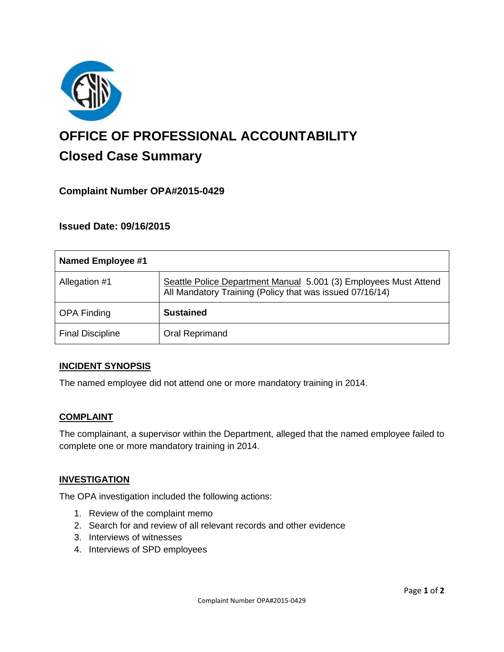

# **OFFICE OF PROFESSIONAL ACCOUNTABILITY Closed Case Summary**

# **Complaint Number OPA#2015-0429**

## **Issued Date: 09/16/2015**

| <b>Named Employee #1</b> |                                                                                                                              |
|--------------------------|------------------------------------------------------------------------------------------------------------------------------|
| Allegation #1            | Seattle Police Department Manual 5.001 (3) Employees Must Attend<br>All Mandatory Training (Policy that was issued 07/16/14) |
| <b>OPA Finding</b>       | <b>Sustained</b>                                                                                                             |
| <b>Final Discipline</b>  | Oral Reprimand                                                                                                               |

#### **INCIDENT SYNOPSIS**

The named employee did not attend one or more mandatory training in 2014.

#### **COMPLAINT**

The complainant, a supervisor within the Department, alleged that the named employee failed to complete one or more mandatory training in 2014.

#### **INVESTIGATION**

The OPA investigation included the following actions:

- 1. Review of the complaint memo
- 2. Search for and review of all relevant records and other evidence
- 3. Interviews of witnesses
- 4. Interviews of SPD employees